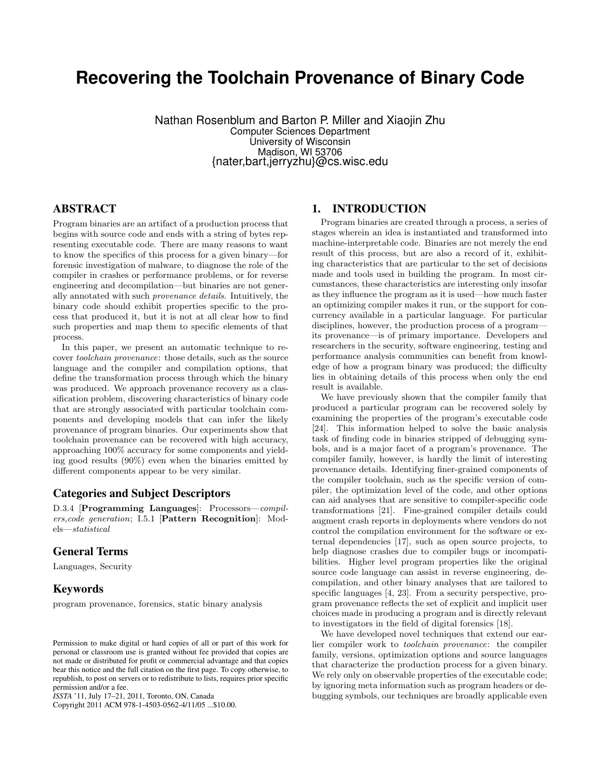# **Recovering the Toolchain Provenance of Binary Code**

Nathan Rosenblum and Barton P. Miller and Xiaojin Zhu Computer Sciences Department University of Wisconsin Madison, WI 53706 {nater,bart,jerryzhu}@cs.wisc.edu

# ABSTRACT

Program binaries are an artifact of a production process that begins with source code and ends with a string of bytes representing executable code. There are many reasons to want to know the specifics of this process for a given binary—for forensic investigation of malware, to diagnose the role of the compiler in crashes or performance problems, or for reverse engineering and decompilation—but binaries are not generally annotated with such provenance details. Intuitively, the binary code should exhibit properties specific to the process that produced it, but it is not at all clear how to find such properties and map them to specific elements of that process.

In this paper, we present an automatic technique to recover toolchain provenance: those details, such as the source language and the compiler and compilation options, that define the transformation process through which the binary was produced. We approach provenance recovery as a classification problem, discovering characteristics of binary code that are strongly associated with particular toolchain components and developing models that can infer the likely provenance of program binaries. Our experiments show that toolchain provenance can be recovered with high accuracy, approaching 100% accuracy for some components and yielding good results (90%) even when the binaries emitted by different components appear to be very similar.

# Categories and Subject Descriptors

D.3.4 [Programming Languages]: Processors—compilers,code generation; I.5.1 [Pattern Recognition]: Models—statistical

# General Terms

Languages, Security

# Keywords

program provenance, forensics, static binary analysis

Copyright 2011 ACM 978-1-4503-0562-4/11/05 ...\$10.00.

# 1. INTRODUCTION

Program binaries are created through a process, a series of stages wherein an idea is instantiated and transformed into machine-interpretable code. Binaries are not merely the end result of this process, but are also a record of it, exhibiting characteristics that are particular to the set of decisions made and tools used in building the program. In most circumstances, these characteristics are interesting only insofar as they influence the program as it is used—how much faster an optimizing compiler makes it run, or the support for concurrency available in a particular language. For particular disciplines, however, the production process of a program its provenance—is of primary importance. Developers and researchers in the security, software engineering, testing and performance analysis communities can benefit from knowledge of how a program binary was produced; the difficulty lies in obtaining details of this process when only the end result is available.

We have previously shown that the compiler family that produced a particular program can be recovered solely by examining the properties of the program's executable code [24]. This information helped to solve the basic analysis task of finding code in binaries stripped of debugging symbols, and is a major facet of a program's provenance. The compiler family, however, is hardly the limit of interesting provenance details. Identifying finer-grained components of the compiler toolchain, such as the specific version of compiler, the optimization level of the code, and other options can aid analyses that are sensitive to compiler-specific code transformations [21]. Fine-grained compiler details could augment crash reports in deployments where vendors do not control the compilation environment for the software or external dependencies [17], such as open source projects, to help diagnose crashes due to compiler bugs or incompatibilities. Higher level program properties like the original source code language can assist in reverse engineering, decompilation, and other binary analyses that are tailored to specific languages [4, 23]. From a security perspective, program provenance reflects the set of explicit and implicit user choices made in producing a program and is directly relevant to investigators in the field of digital forensics [18].

We have developed novel techniques that extend our earlier compiler work to toolchain provenance: the compiler family, versions, optimization options and source languages that characterize the production process for a given binary. We rely only on observable properties of the executable code; by ignoring meta information such as program headers or debugging symbols, our techniques are broadly applicable even

Permission to make digital or hard copies of all or part of this work for personal or classroom use is granted without fee provided that copies are not made or distributed for profit or commercial advantage and that copies bear this notice and the full citation on the first page. To copy otherwise, to republish, to post on servers or to redistribute to lists, requires prior specific permission and/or a fee.

*ISSTA* '11, July 17–21, 2011, Toronto, ON, Canada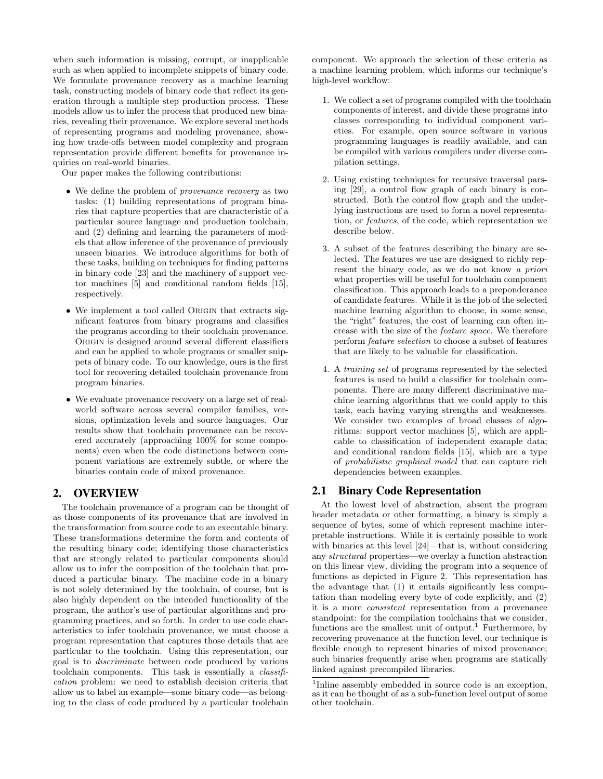when such information is missing, corrupt, or inapplicable such as when applied to incomplete snippets of binary code. We formulate provenance recovery as a machine learning task, constructing models of binary code that reflect its generation through a multiple step production process. These models allow us to infer the process that produced new binaries, revealing their provenance. We explore several methods of representing programs and modeling provenance, showing how trade-offs between model complexity and program representation provide different benefits for provenance inquiries on real-world binaries.

Our paper makes the following contributions:

- We define the problem of *provenance recovery* as two tasks: (1) building representations of program binaries that capture properties that are characteristic of a particular source language and production toolchain, and (2) defining and learning the parameters of models that allow inference of the provenance of previously unseen binaries. We introduce algorithms for both of these tasks, building on techniques for finding patterns in binary code [23] and the machinery of support vector machines [5] and conditional random fields [15], respectively.
- We implement a tool called ORIGIN that extracts significant features from binary programs and classifies the programs according to their toolchain provenance. ORIGIN is designed around several different classifiers and can be applied to whole programs or smaller snippets of binary code. To our knowledge, ours is the first tool for recovering detailed toolchain provenance from program binaries.
- We evaluate provenance recovery on a large set of realworld software across several compiler families, versions, optimization levels and source languages. Our results show that toolchain provenance can be recovered accurately (approaching 100% for some components) even when the code distinctions between component variations are extremely subtle, or where the binaries contain code of mixed provenance.

# 2. OVERVIEW

The toolchain provenance of a program can be thought of as those components of its provenance that are involved in the transformation from source code to an executable binary. These transformations determine the form and contents of the resulting binary code; identifying those characteristics that are strongly related to particular components should allow us to infer the composition of the toolchain that produced a particular binary. The machine code in a binary is not solely determined by the toolchain, of course, but is also highly dependent on the intended functionality of the program, the author's use of particular algorithms and programming practices, and so forth. In order to use code characteristics to infer toolchain provenance, we must choose a program representation that captures those details that are particular to the toolchain. Using this representation, our goal is to discriminate between code produced by various toolchain components. This task is essentially a classification problem: we need to establish decision criteria that allow us to label an example—some binary code—as belonging to the class of code produced by a particular toolchain

component. We approach the selection of these criteria as a machine learning problem, which informs our technique's high-level workflow:

- 1. We collect a set of programs compiled with the toolchain components of interest, and divide these programs into classes corresponding to individual component varieties. For example, open source software in various programming languages is readily available, and can be compiled with various compilers under diverse compilation settings.
- 2. Using existing techniques for recursive traversal parsing [29], a control flow graph of each binary is constructed. Both the control flow graph and the underlying instructions are used to form a novel representation, or features, of the code, which representation we describe below.
- 3. A subset of the features describing the binary are selected. The features we use are designed to richly represent the binary code, as we do not know a priori what properties will be useful for toolchain component classification. This approach leads to a preponderance of candidate features. While it is the job of the selected machine learning algorithm to choose, in some sense, the "right" features, the cost of learning can often increase with the size of the feature space. We therefore perform feature selection to choose a subset of features that are likely to be valuable for classification.
- 4. A training set of programs represented by the selected features is used to build a classifier for toolchain components. There are many different discriminative machine learning algorithms that we could apply to this task, each having varying strengths and weaknesses. We consider two examples of broad classes of algorithms: support vector machines [5], which are applicable to classification of independent example data; and conditional random fields [15], which are a type of probabilistic graphical model that can capture rich dependencies between examples.

# 2.1 Binary Code Representation

At the lowest level of abstraction, absent the program header metadata or other formatting, a binary is simply a sequence of bytes, some of which represent machine interpretable instructions. While it is certainly possible to work with binaries at this level [24]—that is, without considering any structural properties—we overlay a function abstraction on this linear view, dividing the program into a sequence of functions as depicted in Figure 2. This representation has the advantage that (1) it entails significantly less computation than modeling every byte of code explicitly, and (2) it is a more consistent representation from a provenance standpoint: for the compilation toolchains that we consider, functions are the smallest unit of output.<sup>1</sup> Furthermore, by recovering provenance at the function level, our technique is flexible enough to represent binaries of mixed provenance; such binaries frequently arise when programs are statically linked against precompiled libraries.

<sup>&</sup>lt;sup>1</sup>Inline assembly embedded in source code is an exception, as it can be thought of as a sub-function level output of some other toolchain.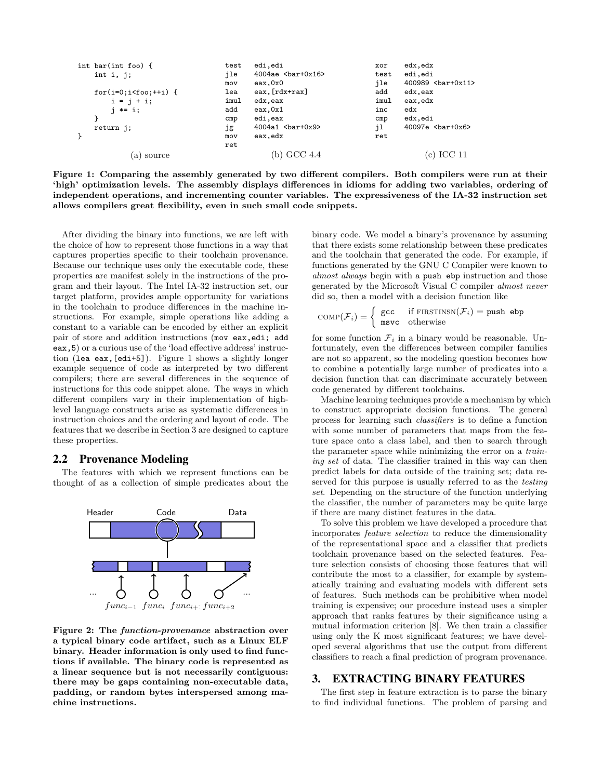

Figure 1: Comparing the assembly generated by two different compilers. Both compilers were run at their 'high' optimization levels. The assembly displays differences in idioms for adding two variables, ordering of independent operations, and incrementing counter variables. The expressiveness of the IA-32 instruction set allows compilers great flexibility, even in such small code snippets.

After dividing the binary into functions, we are left with the choice of how to represent those functions in a way that captures properties specific to their toolchain provenance. Because our technique uses only the executable code, these properties are manifest solely in the instructions of the program and their layout. The Intel IA-32 instruction set, our target platform, provides ample opportunity for variations in the toolchain to produce differences in the machine instructions. For example, simple operations like adding a constant to a variable can be encoded by either an explicit pair of store and addition instructions (mov eax,edi; add eax,5) or a curious use of the 'load effective address' instruction (lea eax, [edi+5]). Figure 1 shows a slightly longer example sequence of code as interpreted by two different compilers; there are several differences in the sequence of instructions for this code snippet alone. The ways in which different compilers vary in their implementation of highlevel language constructs arise as systematic differences in instruction choices and the ordering and layout of code. The features that we describe in Section 3 are designed to capture these properties.

## 2.2 Provenance Modeling

The features with which we represent functions can be thought of as a collection of simple predicates about the



Figure 2: The function-provenance abstraction over a typical binary code artifact, such as a Linux ELF binary. Header information is only used to find functions if available. The binary code is represented as a linear sequence but is not necessarily contiguous: there may be gaps containing non-executable data, padding, or random bytes interspersed among machine instructions.

binary code. We model a binary's provenance by assuming that there exists some relationship between these predicates and the toolchain that generated the code. For example, if functions generated by the GNU C Compiler were known to almost always begin with a push ebp instruction and those generated by the Microsoft Visual C compiler almost never did so, then a model with a decision function like

$$
COMP(\mathcal{F}_i)=\begin{cases} \text{gcc} & \text{if FIRSTINSN}(\mathcal{F}_i)=\text{push } \text{ebp} \\ \text{msvc} & \text{otherwise} \end{cases}
$$

for some function  $\mathcal{F}_i$  in a binary would be reasonable. Unfortunately, even the differences between compiler families are not so apparent, so the modeling question becomes how to combine a potentially large number of predicates into a decision function that can discriminate accurately between code generated by different toolchains.

Machine learning techniques provide a mechanism by which to construct appropriate decision functions. The general process for learning such classifiers is to define a function with some number of parameters that maps from the feature space onto a class label, and then to search through the parameter space while minimizing the error on a training set of data. The classifier trained in this way can then predict labels for data outside of the training set; data reserved for this purpose is usually referred to as the *testing* set. Depending on the structure of the function underlying the classifier, the number of parameters may be quite large if there are many distinct features in the data.

To solve this problem we have developed a procedure that incorporates feature selection to reduce the dimensionality of the representational space and a classifier that predicts toolchain provenance based on the selected features. Feature selection consists of choosing those features that will contribute the most to a classifier, for example by systematically training and evaluating models with different sets of features. Such methods can be prohibitive when model training is expensive; our procedure instead uses a simpler approach that ranks features by their significance using a mutual information criterion [8]. We then train a classifier using only the K most significant features; we have developed several algorithms that use the output from different classifiers to reach a final prediction of program provenance.

## 3. EXTRACTING BINARY FEATURES

The first step in feature extraction is to parse the binary to find individual functions. The problem of parsing and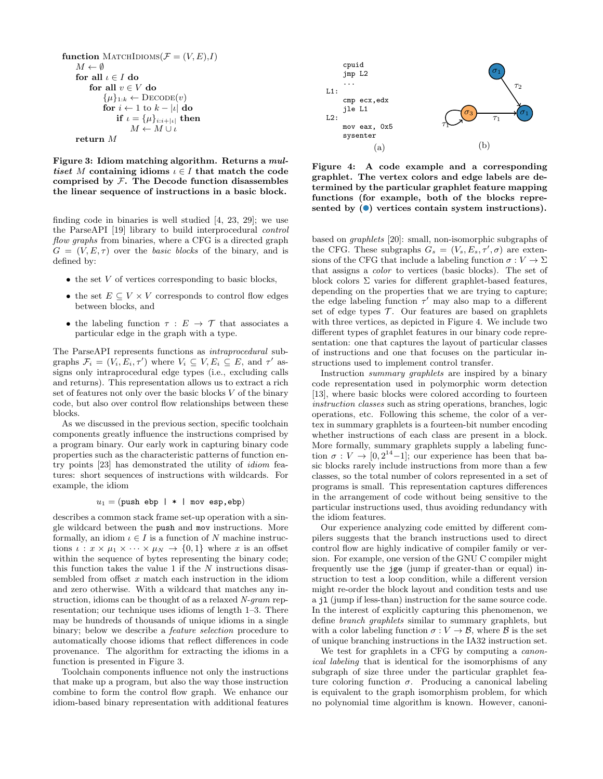```
function MATCHIDIOMS(F = (V, E), I)M \leftarrow \emptysetfor all \iota \in I do
for all v \in V do
     \{\mu\}_{1:k} \leftarrow \text{DECODE}(v)for i \leftarrow 1 to k - |\iota| do
          if \iota = {\mu}_{i:i+|\iota|} then
               M \leftarrow M \cup \iotareturn M
```
Figure 3: Idiom matching algorithm. Returns a multiset M containing idioms  $\iota \in I$  that match the code comprised by  $F$ . The Decode function disassembles the linear sequence of instructions in a basic block.

finding code in binaries is well studied [4, 23, 29]; we use the ParseAPI [19] library to build interprocedural control flow graphs from binaries, where a CFG is a directed graph  $G = (V, E, \tau)$  over the *basic blocks* of the binary, and is defined by:

- $\bullet$  the set V of vertices corresponding to basic blocks,
- the set  $E \subseteq V \times V$  corresponds to control flow edges between blocks, and
- the labeling function  $\tau : E \to \mathcal{T}$  that associates a particular edge in the graph with a type.

The ParseAPI represents functions as intraprocedural subgraphs  $\mathcal{F}_i = (V_i, E_i, \tau')$  where  $V_i \subseteq V, E_i \subseteq E$ , and  $\tau'$  assigns only intraprocedural edge types (i.e., excluding calls and returns). This representation allows us to extract a rich set of features not only over the basic blocks  $V$  of the binary code, but also over control flow relationships between these blocks.

As we discussed in the previous section, specific toolchain components greatly influence the instructions comprised by a program binary. Our early work in capturing binary code properties such as the characteristic patterns of function entry points [23] has demonstrated the utility of idiom features: short sequences of instructions with wildcards. For example, the idiom

 $u_1 = (push \text{ ebp } | * | \text{ mov} \text{ esp, ebp})$ 

describes a common stack frame set-up operation with a single wildcard between the push and mov instructions. More formally, an idiom  $\iota \in I$  is a function of N machine instructions  $\iota : x \times \mu_1 \times \cdots \times \mu_N \rightarrow \{0,1\}$  where x is an offset within the sequence of bytes representing the binary code; this function takes the value 1 if the  $N$  instructions disassembled from offset x match each instruction in the idiom and zero otherwise. With a wildcard that matches any instruction, idioms can be thought of as a relaxed N-gram representation; our technique uses idioms of length 1–3. There may be hundreds of thousands of unique idioms in a single binary; below we describe a feature selection procedure to automatically choose idioms that reflect differences in code provenance. The algorithm for extracting the idioms in a function is presented in Figure 3.

Toolchain components influence not only the instructions that make up a program, but also the way those instruction combine to form the control flow graph. We enhance our idiom-based binary representation with additional features



Figure 4: A code example and a corresponding graphlet. The vertex colors and edge labels are determined by the particular graphlet feature mapping functions (for example, both of the blocks represented by  $\left( \bullet \right)$  vertices contain system instructions).

based on graphlets [20]: small, non-isomorphic subgraphs of the CFG. These subgraphs  $G_s = (V_s, E_s, \tau', \sigma)$  are extensions of the CFG that include a labeling function  $\sigma: V \to \Sigma$ that assigns a color to vertices (basic blocks). The set of block colors  $\Sigma$  varies for different graphlet-based features, depending on the properties that we are trying to capture; the edge labeling function  $\tau'$  may also map to a different set of edge types  $\mathcal{T}$ . Our features are based on graphlets with three vertices, as depicted in Figure 4. We include two different types of graphlet features in our binary code representation: one that captures the layout of particular classes of instructions and one that focuses on the particular instructions used to implement control transfer.

Instruction summary graphlets are inspired by a binary code representation used in polymorphic worm detection [13], where basic blocks were colored according to fourteen instruction classes such as string operations, branches, logic operations, etc. Following this scheme, the color of a vertex in summary graphlets is a fourteen-bit number encoding whether instructions of each class are present in a block. More formally, summary graphlets supply a labeling function  $\sigma: V \to [0, 2^{14}-1]$ ; our experience has been that basic blocks rarely include instructions from more than a few classes, so the total number of colors represented in a set of programs is small. This representation captures differences in the arrangement of code without being sensitive to the particular instructions used, thus avoiding redundancy with the idiom features.

Our experience analyzing code emitted by different compilers suggests that the branch instructions used to direct control flow are highly indicative of compiler family or version. For example, one version of the GNU C compiler might frequently use the jge (jump if greater-than or equal) instruction to test a loop condition, while a different version might re-order the block layout and condition tests and use a jl (jump if less-than) instruction for the same source code. In the interest of explicitly capturing this phenomenon, we define branch graphlets similar to summary graphlets, but with a color labeling function  $\sigma: V \to \mathcal{B}$ , where  $\mathcal{B}$  is the set of unique branching instructions in the IA32 instruction set.

We test for graphlets in a CFG by computing a *canon*ical labeling that is identical for the isomorphisms of any subgraph of size three under the particular graphlet feature coloring function  $\sigma$ . Producing a canonical labeling is equivalent to the graph isomorphism problem, for which no polynomial time algorithm is known. However, canoni-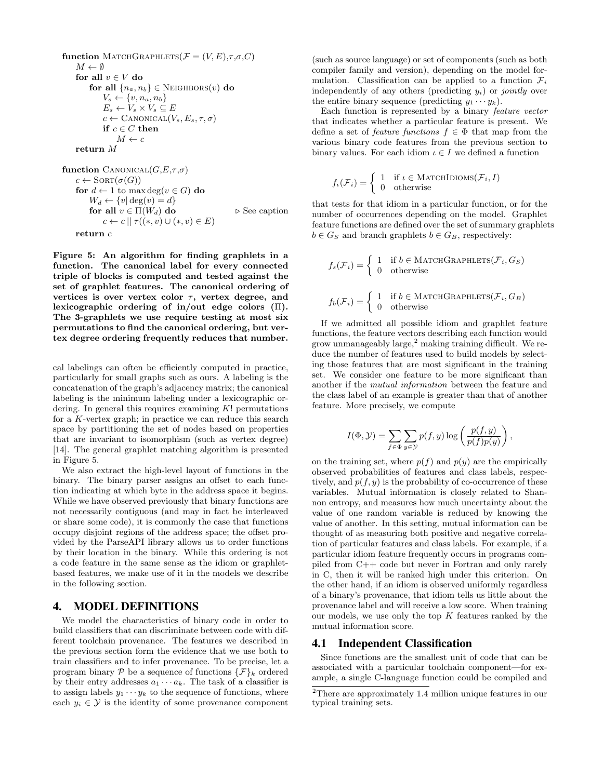function MATCHGRAPHLETS
$$
(F = (V, E), \tau, \sigma, C)
$$
  
\n $M \leftarrow \emptyset$   
\nfor all  $v \in V$  do  
\nfor all  $\{n_a, n_b\} \in \text{NEIGHBORS}(v)$  do  
\n $V_s \leftarrow \{v, n_a, n_b\}$   
\n $E_s \leftarrow V_s \times V_s \subseteq E$   
\n $c \leftarrow \text{CANONICAL}(V_s, E_s, \tau, \sigma)$   
\nif  $c \in C$  then  
\n $M \leftarrow c$   
\nreturn  $M$   
\nfunction  $\text{CANONICAL}(G, E, \tau, \sigma)$   
\n $c \leftarrow \text{SORT}(\sigma(G))$   
\nfor  $d \leftarrow 1$  to max deg $(v \in G)$  do  
\n $W_d \leftarrow \{v | \text{deg}(v) = d\}$   
\nfor all  $v \in \Pi(W_d)$  do  
\n $c \leftarrow c | |\tau((*, v) \cup (*, v) \in E)$   
\nreturn  $c$ 

Figure 5: An algorithm for finding graphlets in a function. The canonical label for every connected triple of blocks is computed and tested against the set of graphlet features. The canonical ordering of vertices is over vertex color  $\tau$ , vertex degree, and lexicographic ordering of in/out edge colors (Π). The 3-graphlets we use require testing at most six permutations to find the canonical ordering, but vertex degree ordering frequently reduces that number.

cal labelings can often be efficiently computed in practice, particularly for small graphs such as ours. A labeling is the concatenation of the graph's adjacency matrix; the canonical labeling is the minimum labeling under a lexicographic ordering. In general this requires examining  $K!$  permutations for a  $K$ -vertex graph; in practice we can reduce this search space by partitioning the set of nodes based on properties that are invariant to isomorphism (such as vertex degree) [14]. The general graphlet matching algorithm is presented in Figure 5.

We also extract the high-level layout of functions in the binary. The binary parser assigns an offset to each function indicating at which byte in the address space it begins. While we have observed previously that binary functions are not necessarily contiguous (and may in fact be interleaved or share some code), it is commonly the case that functions occupy disjoint regions of the address space; the offset provided by the ParseAPI library allows us to order functions by their location in the binary. While this ordering is not a code feature in the same sense as the idiom or graphletbased features, we make use of it in the models we describe in the following section.

# 4. MODEL DEFINITIONS

We model the characteristics of binary code in order to build classifiers that can discriminate between code with different toolchain provenance. The features we described in the previous section form the evidence that we use both to train classifiers and to infer provenance. To be precise, let a program binary P be a sequence of functions  $\{\mathcal{F}\}_k$  ordered by their entry addresses  $a_1 \cdots a_k$ . The task of a classifier is to assign labels  $y_1 \cdots y_k$  to the sequence of functions, where each  $y_i \in \mathcal{Y}$  is the identity of some provenance component (such as source language) or set of components (such as both compiler family and version), depending on the model formulation. Classification can be applied to a function  $\mathcal{F}_i$ independently of any others (predicting  $y_i$ ) or *jointly* over the entire binary sequence (predicting  $y_1 \cdots y_k$ ).

Each function is represented by a binary feature vector that indicates whether a particular feature is present. We define a set of *feature functions*  $f \in \Phi$  that map from the various binary code features from the previous section to binary values. For each idiom  $\iota \in I$  we defined a function

$$
f_{\iota}(\mathcal{F}_{i}) = \begin{cases} 1 & \text{if } \iota \in \text{MATCHIDIOMS}(\mathcal{F}_{i}, I) \\ 0 & \text{otherwise} \end{cases}
$$

that tests for that idiom in a particular function, or for the number of occurrences depending on the model. Graphlet feature functions are defined over the set of summary graphlets  $b \in G_S$  and branch graphlets  $b \in G_B$ , respectively:

$$
f_s(\mathcal{F}_i) = \begin{cases} 1 & \text{if } b \in \text{MACHGRAPHLETS}(\mathcal{F}_i, G_S) \\ 0 & \text{otherwise} \end{cases}
$$

$$
f_b(\mathcal{F}_i) = \begin{cases} 1 & \text{if } b \in \text{MACHGRAPHLETS}(\mathcal{F}_i, G_B) \\ 0 & \text{otherwise} \end{cases}
$$

If we admitted all possible idiom and graphlet feature functions, the feature vectors describing each function would grow unmanageably large, $^2$  making training difficult. We reduce the number of features used to build models by selecting those features that are most significant in the training set. We consider one feature to be more significant than another if the mutual information between the feature and the class label of an example is greater than that of another feature. More precisely, we compute

$$
I(\Phi, \mathcal{Y}) = \sum_{f \in \Phi} \sum_{y \in \mathcal{Y}} p(f, y) \log \left( \frac{p(f, y)}{p(f) p(y)} \right),
$$

on the training set, where  $p(f)$  and  $p(y)$  are the empirically observed probabilities of features and class labels, respectively, and  $p(f, y)$  is the probability of co-occurrence of these variables. Mutual information is closely related to Shannon entropy, and measures how much uncertainty about the value of one random variable is reduced by knowing the value of another. In this setting, mutual information can be thought of as measuring both positive and negative correlation of particular features and class labels. For example, if a particular idiom feature frequently occurs in programs compiled from C++ code but never in Fortran and only rarely in C, then it will be ranked high under this criterion. On the other hand, if an idiom is observed uniformly regardless of a binary's provenance, that idiom tells us little about the provenance label and will receive a low score. When training our models, we use only the top  $K$  features ranked by the mutual information score.

# 4.1 Independent Classification

Since functions are the smallest unit of code that can be associated with a particular toolchain component—for example, a single C-language function could be compiled and

<sup>2</sup>There are approximately 1.4 million unique features in our typical training sets.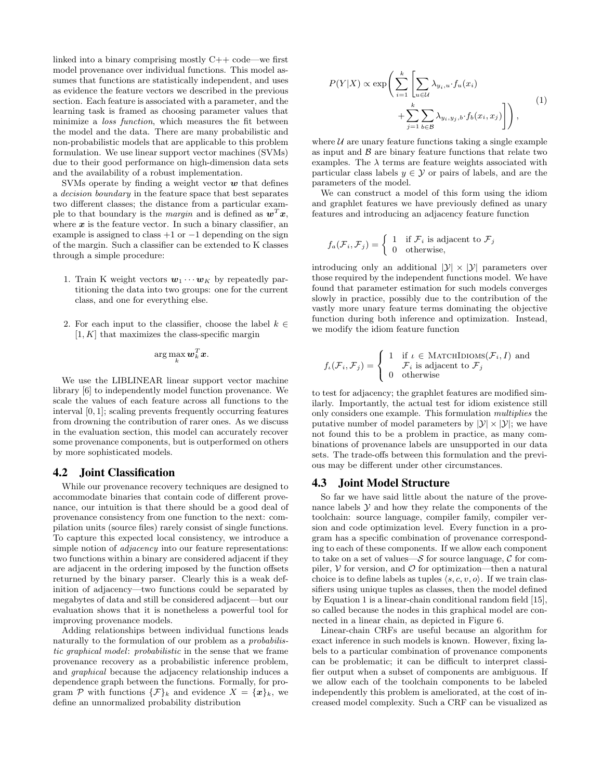linked into a binary comprising mostly C++ code—we first model provenance over individual functions. This model assumes that functions are statistically independent, and uses as evidence the feature vectors we described in the previous section. Each feature is associated with a parameter, and the learning task is framed as choosing parameter values that minimize a loss function, which measures the fit between the model and the data. There are many probabilistic and non-probabilistic models that are applicable to this problem formulation. We use linear support vector machines (SVMs) due to their good performance on high-dimension data sets and the availability of a robust implementation.

SVMs operate by finding a weight vector  $w$  that defines a decision boundary in the feature space that best separates two different classes; the distance from a particular example to that boundary is the *margin* and is defined as  $w^T x$ , where  $x$  is the feature vector. In such a binary classifier, an example is assigned to class  $+1$  or  $-1$  depending on the sign of the margin. Such a classifier can be extended to K classes through a simple procedure:

- 1. Train K weight vectors  $w_1 \cdots w_K$  by repeatedly partitioning the data into two groups: one for the current class, and one for everything else.
- 2. For each input to the classifier, choose the label  $k \in \mathbb{Z}$  $[1, K]$  that maximizes the class-specific margin

$$
\arg\max_{k} \boldsymbol{w}_{k}^{T} \boldsymbol{x}.
$$

We use the LIBLINEAR linear support vector machine library [6] to independently model function provenance. We scale the values of each feature across all functions to the interval [0, 1]; scaling prevents frequently occurring features from drowning the contribution of rarer ones. As we discuss in the evaluation section, this model can accurately recover some provenance components, but is outperformed on others by more sophisticated models.

# 4.2 Joint Classification

While our provenance recovery techniques are designed to accommodate binaries that contain code of different provenance, our intuition is that there should be a good deal of provenance consistency from one function to the next: compilation units (source files) rarely consist of single functions. To capture this expected local consistency, we introduce a simple notion of *adjacency* into our feature representations: two functions within a binary are considered adjacent if they are adjacent in the ordering imposed by the function offsets returned by the binary parser. Clearly this is a weak definition of adjacency—two functions could be separated by megabytes of data and still be considered adjacent—but our evaluation shows that it is nonetheless a powerful tool for improving provenance models.

Adding relationships between individual functions leads naturally to the formulation of our problem as a *probabilis*tic graphical model: probabilistic in the sense that we frame provenance recovery as a probabilistic inference problem, and graphical because the adjacency relationship induces a dependence graph between the functions. Formally, for program P with functions  $\{\mathcal{F}\}_k$  and evidence  $X = {\{\mathbf{x}\}_k, \mathbf{w}}$ define an unnormalized probability distribution

$$
P(Y|X) \propto \exp\left(\sum_{i=1}^{k} \left[\sum_{u \in \mathcal{U}} \lambda_{y_i, u} \cdot f_u(x_i) + \sum_{j=1}^{k} \sum_{b \in \mathcal{B}} \lambda_{y_i, y_j, b} \cdot f_b(x_i, x_j)\right]\right),
$$
\n<sup>(1)</sup>

where  $U$  are unary feature functions taking a single example as input and  $\beta$  are binary feature functions that relate two examples. The  $\lambda$  terms are feature weights associated with particular class labels  $y \in \mathcal{Y}$  or pairs of labels, and are the parameters of the model.

We can construct a model of this form using the idiom and graphlet features we have previously defined as unary features and introducing an adjacency feature function

$$
f_a(\mathcal{F}_i, \mathcal{F}_j) = \begin{cases} 1 & \text{if } \mathcal{F}_i \text{ is adjacent to } \mathcal{F}_j \\ 0 & \text{otherwise,} \end{cases}
$$

introducing only an additional  $|\mathcal{Y}| \times |\mathcal{Y}|$  parameters over those required by the independent functions model. We have found that parameter estimation for such models converges slowly in practice, possibly due to the contribution of the vastly more unary feature terms dominating the objective function during both inference and optimization. Instead, we modify the idiom feature function

$$
f_{\iota}(\mathcal{F}_{i}, \mathcal{F}_{j}) = \begin{cases} 1 & \text{if } \iota \in \text{MarchIDOMS}(\mathcal{F}_{i}, I) \text{ and} \\ \mathcal{F}_{i} & \text{is adjacent to } \mathcal{F}_{j} \\ 0 & \text{otherwise} \end{cases}
$$

to test for adjacency; the graphlet features are modified similarly. Importantly, the actual test for idiom existence still only considers one example. This formulation multiplies the putative number of model parameters by  $|\mathcal{Y}| \times |\mathcal{Y}|$ ; we have not found this to be a problem in practice, as many combinations of provenance labels are unsupported in our data sets. The trade-offs between this formulation and the previous may be different under other circumstances.

#### 4.3 Joint Model Structure

So far we have said little about the nature of the provenance labels  $\mathcal Y$  and how they relate the components of the toolchain: source language, compiler family, compiler version and code optimization level. Every function in a program has a specific combination of provenance corresponding to each of these components. If we allow each component to take on a set of values— $S$  for source language,  $C$  for compiler,  $V$  for version, and  $O$  for optimization—then a natural choice is to define labels as tuples  $\langle s, c, v, o \rangle$ . If we train classifiers using unique tuples as classes, then the model defined by Equation 1 is a linear-chain conditional random field [15], so called because the nodes in this graphical model are connected in a linear chain, as depicted in Figure 6.

Linear-chain CRFs are useful because an algorithm for exact inference in such models is known. However, fixing labels to a particular combination of provenance components can be problematic; it can be difficult to interpret classifier output when a subset of components are ambiguous. If we allow each of the toolchain components to be labeled independently this problem is ameliorated, at the cost of increased model complexity. Such a CRF can be visualized as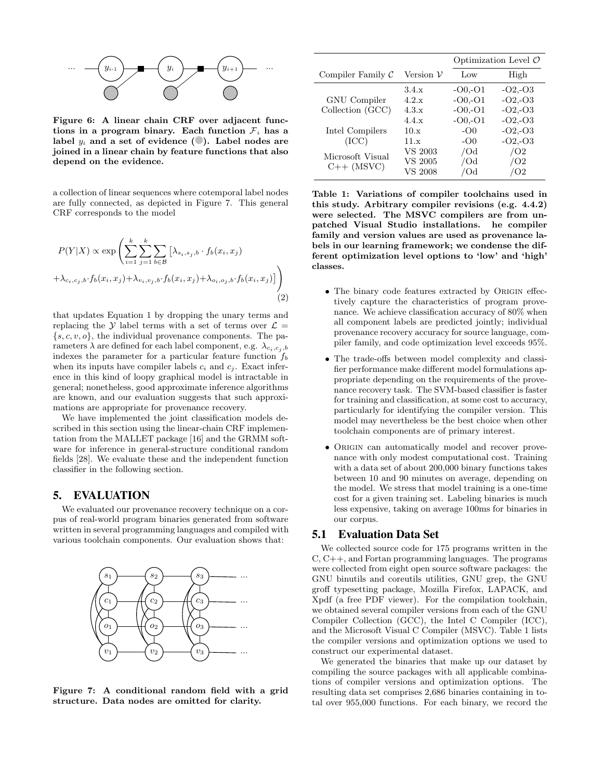

Figure 6: A linear chain CRF over adjacent functions in a program binary. Each function  $\mathcal{F}_i$  has a label  $y_i$  and a set of evidence  $(\bullet)$ . Label nodes are joined in a linear chain by feature functions that also depend on the evidence.

a collection of linear sequences where cotemporal label nodes are fully connected, as depicted in Figure 7. This general CRF corresponds to the model

$$
P(Y|X) \propto \exp\left(\sum_{i=1}^{k} \sum_{j=1}^{k} \sum_{b \in \mathcal{B}} \left[\lambda_{s_i, s_j, b} \cdot f_b(x_i, x_j) + \lambda_{c_i, c_j, b} \cdot f_b(x_i, x_j) + \lambda_{o_i, c_j, b} \cdot f_b(x_i, x_j)\right]\right)
$$
\n
$$
(2)
$$

that updates Equation 1 by dropping the unary terms and replacing the Y label terms with a set of terms over  $\mathcal{L} =$  ${s, c, v, o}$ , the individual provenance components. The parameters  $\lambda$  are defined for each label component, e.g.  $\lambda_{c_i,c_j,b}$ indexes the parameter for a particular feature function  $f_b$ when its inputs have compiler labels  $c_i$  and  $c_j$ . Exact inference in this kind of loopy graphical model is intractable in general; nonetheless, good approximate inference algorithms are known, and our evaluation suggests that such approximations are appropriate for provenance recovery.

We have implemented the joint classification models described in this section using the linear-chain CRF implementation from the MALLET package [16] and the GRMM software for inference in general-structure conditional random fields [28]. We evaluate these and the independent function classifier in the following section.

#### 5. EVALUATION

We evaluated our provenance recovery technique on a corpus of real-world program binaries generated from software written in several programming languages and compiled with various toolchain components. Our evaluation shows that:



Figure 7: A conditional random field with a grid structure. Data nodes are omitted for clarity.

|                                         |                                             | Optimization Level $\mathcal O$               |                                                      |  |
|-----------------------------------------|---------------------------------------------|-----------------------------------------------|------------------------------------------------------|--|
| Compiler Family $\mathcal C$            | Version $V$                                 | Low                                           | High                                                 |  |
| <b>GNU</b> Compiler<br>Collection (GCC) | 3.4.x<br>$4.2 \mathrm{x}$<br>4.3.x<br>4.4.x | $-00,-01$<br>$-00-01$<br>$-00-01$<br>$-00-01$ | $-O2 - O3$<br>$-O2 - O3$<br>$-O2 - O3$<br>$-O2 - O3$ |  |
| Intel Compilers<br>(ICC)                | 10.x<br>11.x                                | $-O$<br>$-O$                                  | $-O2,-O3$<br>$-O2,-O3$                               |  |
| Microsoft Visual<br>$C++ (MSVC)$        | VS 2003<br>VS 2005<br><b>VS 2008</b>        | /Od<br>/Od<br>/Od                             | /02<br>/02<br>/O2                                    |  |

Table 1: Variations of compiler toolchains used in this study. Arbitrary compiler revisions (e.g. 4.4.2) were selected. The MSVC compilers are from unpatched Visual Studio installations. he compiler family and version values are used as provenance labels in our learning framework; we condense the different optimization level options to 'low' and 'high' classes.

- The binary code features extracted by Origin effectively capture the characteristics of program provenance. We achieve classification accuracy of 80% when all component labels are predicted jointly; individual provenance recovery accuracy for source language, compiler family, and code optimization level exceeds 95%.
- The trade-offs between model complexity and classifier performance make different model formulations appropriate depending on the requirements of the provenance recovery task. The SVM-based classifier is faster for training and classification, at some cost to accuracy, particularly for identifying the compiler version. This model may nevertheless be the best choice when other toolchain components are of primary interest.
- ORIGIN can automatically model and recover provenance with only modest computational cost. Training with a data set of about 200,000 binary functions takes between 10 and 90 minutes on average, depending on the model. We stress that model training is a one-time cost for a given training set. Labeling binaries is much less expensive, taking on average 100ms for binaries in our corpus.

# 5.1 Evaluation Data Set

We collected source code for 175 programs written in the C, C++, and Fortan programming languages. The programs were collected from eight open source software packages: the GNU binutils and coreutils utilities, GNU grep, the GNU groff typesetting package, Mozilla Firefox, LAPACK, and Xpdf (a free PDF viewer). For the compilation toolchain, we obtained several compiler versions from each of the GNU Compiler Collection (GCC), the Intel C Compiler (ICC), and the Microsoft Visual C Compiler (MSVC). Table 1 lists the compiler versions and optimization options we used to construct our experimental dataset.

We generated the binaries that make up our dataset by compiling the source packages with all applicable combinations of compiler versions and optimization options. The resulting data set comprises 2,686 binaries containing in total over 955,000 functions. For each binary, we record the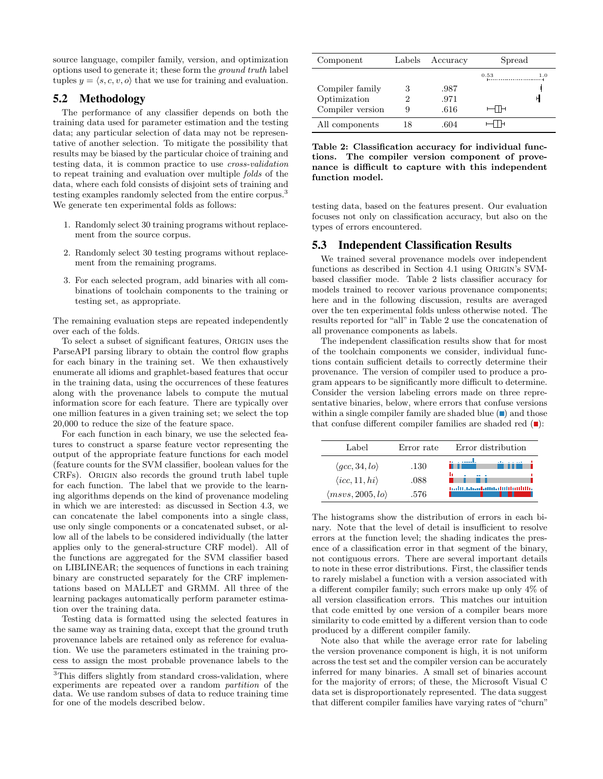source language, compiler family, version, and optimization options used to generate it; these form the ground truth label tuples  $y = \langle s, c, v, o \rangle$  that we use for training and evaluation.

## 5.2 Methodology

The performance of any classifier depends on both the training data used for parameter estimation and the testing data; any particular selection of data may not be representative of another selection. To mitigate the possibility that results may be biased by the particular choice of training and testing data, it is common practice to use cross-validation to repeat training and evaluation over multiple folds of the data, where each fold consists of disjoint sets of training and testing examples randomly selected from the entire corpus.<sup>3</sup> We generate ten experimental folds as follows:

- 1. Randomly select 30 training programs without replacement from the source corpus.
- 2. Randomly select 30 testing programs without replacement from the remaining programs.
- 3. For each selected program, add binaries with all combinations of toolchain components to the training or testing set, as appropriate.

The remaining evaluation steps are repeated independently over each of the folds.

To select a subset of significant features, Origin uses the ParseAPI parsing library to obtain the control flow graphs for each binary in the training set. We then exhaustively enumerate all idioms and graphlet-based features that occur in the training data, using the occurrences of these features along with the provenance labels to compute the mutual information score for each feature. There are typically over one million features in a given training set; we select the top 20,000 to reduce the size of the feature space.

For each function in each binary, we use the selected features to construct a sparse feature vector representing the output of the appropriate feature functions for each model (feature counts for the SVM classifier, boolean values for the CRFs). Origin also records the ground truth label tuple for each function. The label that we provide to the learning algorithms depends on the kind of provenance modeling in which we are interested: as discussed in Section 4.3, we can concatenate the label components into a single class, use only single components or a concatenated subset, or allow all of the labels to be considered individually (the latter applies only to the general-structure CRF model). All of the functions are aggregated for the SVM classifier based on LIBLINEAR; the sequences of functions in each training binary are constructed separately for the CRF implementations based on MALLET and GRMM. All three of the learning packages automatically perform parameter estimation over the training data.

Testing data is formatted using the selected features in the same way as training data, except that the ground truth provenance labels are retained only as reference for evaluation. We use the parameters estimated in the training process to assign the most probable provenance labels to the

| Component        | Labels | Accuracy | Spread   |     |
|------------------|--------|----------|----------|-----|
|                  |        |          | $0.53$ 1 | 1.0 |
| Compiler family  |        | .987     |          |     |
| Optimization     |        | .971     |          | н   |
| Compiler version |        | .616     |          |     |
| All components   | 18     | .604     |          |     |

Table 2: Classification accuracy for individual functions. The compiler version component of provenance is difficult to capture with this independent function model.

testing data, based on the features present. Our evaluation focuses not only on classification accuracy, but also on the types of errors encountered.

## 5.3 Independent Classification Results

We trained several provenance models over independent functions as described in Section 4.1 using ORIGIN's SVMbased classifier mode. Table 2 lists classifier accuracy for models trained to recover various provenance components; here and in the following discussion, results are averaged over the ten experimental folds unless otherwise noted. The results reported for "all" in Table 2 use the concatenation of all provenance components as labels.

The independent classification results show that for most of the toolchain components we consider, individual functions contain sufficient details to correctly determine their provenance. The version of compiler used to produce a program appears to be significantly more difficult to determine. Consider the version labeling errors made on three representative binaries, below, where errors that confuse versions within a single compiler family are shaded blue  $(\blacksquare)$  and those that confuse different compiler families are shaded red  $(\blacksquare)$ :

| Label                            | Error rate | Error distribution                       |
|----------------------------------|------------|------------------------------------------|
| $\langle qcc, 34, lo \rangle$    | .130       |                                          |
| $\langle icc, 11, hi \rangle$    | .088       |                                          |
| $\langle msvs, 2005, lo \rangle$ | .576       | <b>Godinal Joseph (microfilministic)</b> |

The histograms show the distribution of errors in each binary. Note that the level of detail is insufficient to resolve errors at the function level; the shading indicates the presence of a classification error in that segment of the binary, not contiguous errors. There are several important details to note in these error distributions. First, the classifier tends to rarely mislabel a function with a version associated with a different compiler family; such errors make up only 4% of all version classification errors. This matches our intuition that code emitted by one version of a compiler bears more similarity to code emitted by a different version than to code produced by a different compiler family.

Note also that while the average error rate for labeling the version provenance component is high, it is not uniform across the test set and the compiler version can be accurately inferred for many binaries. A small set of binaries account for the majority of errors; of these, the Microsoft Visual C data set is disproportionately represented. The data suggest that different compiler families have varying rates of "churn"

 $^3 \mathrm{This}$  differs slightly from standard cross-validation, where experiments are repeated over a random partition of the data. We use random subses of data to reduce training time for one of the models described below.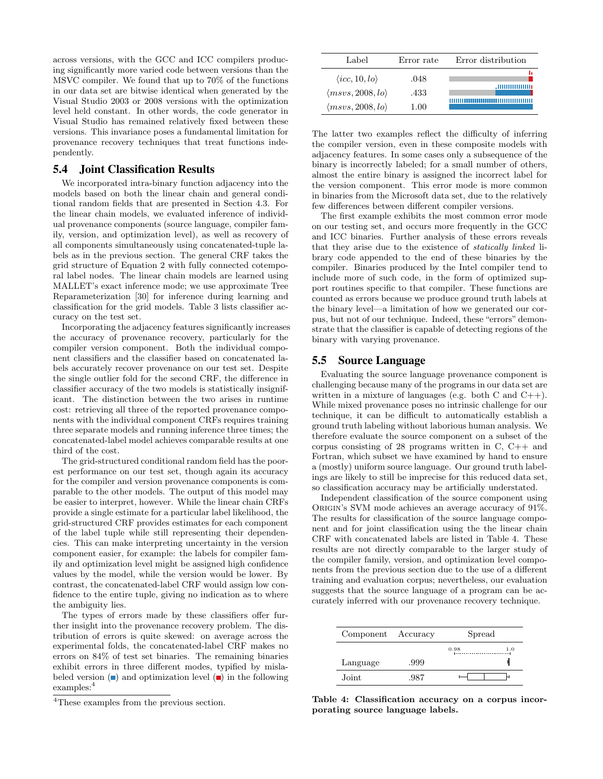across versions, with the GCC and ICC compilers producing significantly more varied code between versions than the MSVC compiler. We found that up to 70% of the functions in our data set are bitwise identical when generated by the Visual Studio 2003 or 2008 versions with the optimization level held constant. In other words, the code generator in Visual Studio has remained relatively fixed between these versions. This invariance poses a fundamental limitation for provenance recovery techniques that treat functions independently.

## 5.4 Joint Classification Results

We incorporated intra-binary function adjacency into the models based on both the linear chain and general conditional random fields that are presented in Section 4.3. For the linear chain models, we evaluated inference of individual provenance components (source language, compiler family, version, and optimization level), as well as recovery of all components simultaneously using concatenated-tuple labels as in the previous section. The general CRF takes the grid structure of Equation 2 with fully connected cotemporal label nodes. The linear chain models are learned using MALLET's exact inference mode; we use approximate Tree Reparameterization [30] for inference during learning and classification for the grid models. Table 3 lists classifier accuracy on the test set.

Incorporating the adjacency features significantly increases the accuracy of provenance recovery, particularly for the compiler version component. Both the individual component classifiers and the classifier based on concatenated labels accurately recover provenance on our test set. Despite the single outlier fold for the second CRF, the difference in classifier accuracy of the two models is statistically insignificant. The distinction between the two arises in runtime cost: retrieving all three of the reported provenance components with the individual component CRFs requires training three separate models and running inference three times; the concatenated-label model achieves comparable results at one third of the cost.

The grid-structured conditional random field has the poorest performance on our test set, though again its accuracy for the compiler and version provenance components is comparable to the other models. The output of this model may be easier to interpret, however. While the linear chain CRFs provide a single estimate for a particular label likelihood, the grid-structured CRF provides estimates for each component of the label tuple while still representing their dependencies. This can make interpreting uncertainty in the version component easier, for example: the labels for compiler family and optimization level might be assigned high confidence values by the model, while the version would be lower. By contrast, the concatenated-label CRF would assign low confidence to the entire tuple, giving no indication as to where the ambiguity lies.

The types of errors made by these classifiers offer further insight into the provenance recovery problem. The distribution of errors is quite skewed: on average across the experimental folds, the concatenated-label CRF makes no errors on 84% of test set binaries. The remaining binaries exhibit errors in three different modes, typified by mislabeled version  $(\blacksquare)$  and optimization level  $(\blacksquare)$  in the following examples:<sup>4</sup>

| Label                            | Error rate | Error distribution           |
|----------------------------------|------------|------------------------------|
| $\langle icc, 10, lo \rangle$    | .048       |                              |
| $\langle msvs, 2008, lo \rangle$ | .433       | ________________             |
| $\langle msvs, 2008, lo \rangle$ | 1.00       | ,,,,,,,,,,,,,,,,,,,,,,,,,,,, |

The latter two examples reflect the difficulty of inferring the compiler version, even in these composite models with adjacency features. In some cases only a subsequence of the binary is incorrectly labeled; for a small number of others, almost the entire binary is assigned the incorrect label for the version component. This error mode is more common in binaries from the Microsoft data set, due to the relatively few differences between different compiler versions.

The first example exhibits the most common error mode on our testing set, and occurs more frequently in the GCC and ICC binaries. Further analysis of these errors reveals that they arise due to the existence of statically linked library code appended to the end of these binaries by the compiler. Binaries produced by the Intel compiler tend to include more of such code, in the form of optimized support routines specific to that compiler. These functions are counted as errors because we produce ground truth labels at the binary level—a limitation of how we generated our corpus, but not of our technique. Indeed, these "errors" demonstrate that the classifier is capable of detecting regions of the binary with varying provenance.

# 5.5 Source Language

Evaluating the source language provenance component is challenging because many of the programs in our data set are written in a mixture of languages (e.g. both C and  $C_{++}$ ). While mixed provenance poses no intrinsic challenge for our technique, it can be difficult to automatically establish a ground truth labeling without laborious human analysis. We therefore evaluate the source component on a subset of the corpus consisting of 28 programs written in  $C$ ,  $C++$  and Fortran, which subset we have examined by hand to ensure a (mostly) uniform source language. Our ground truth labelings are likely to still be imprecise for this reduced data set, so classification accuracy may be artificially understated.

Independent classification of the source component using ORIGIN's SVM mode achieves an average accuracy of 91%. The results for classification of the source language component and for joint classification using the the linear chain CRF with concatenated labels are listed in Table 4. These results are not directly comparable to the larger study of the compiler family, version, and optimization level components from the previous section due to the use of a different training and evaluation corpus; nevertheless, our evaluation suggests that the source language of a program can be accurately inferred with our provenance recovery technique.

| Component Accuracy |      | Spread |     |  |
|--------------------|------|--------|-----|--|
|                    |      | 0.98   | 1.0 |  |
| Language           | .999 |        |     |  |
| Joint              | .987 |        |     |  |

Table 4: Classification accuracy on a corpus incorporating source language labels.

<sup>4</sup>These examples from the previous section.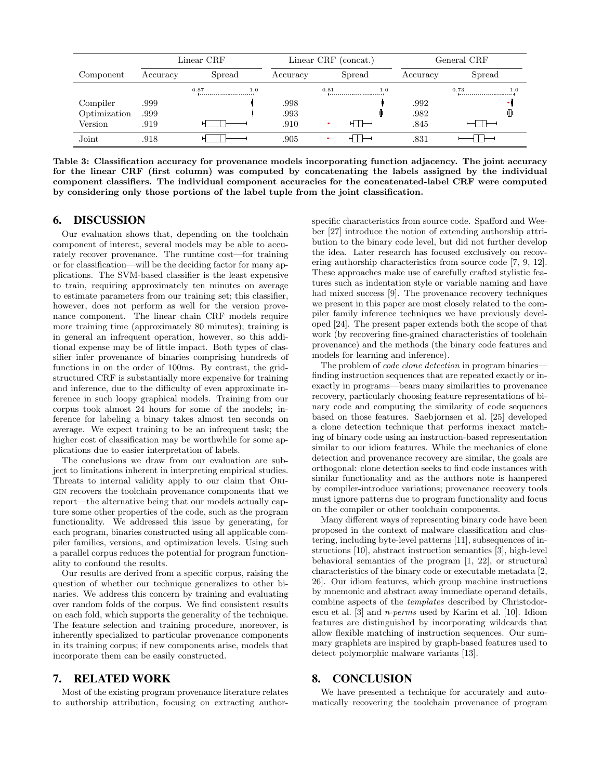|              | Linear CRF |        |     | Linear CRF (concat.) |      |        | General CRF |             |
|--------------|------------|--------|-----|----------------------|------|--------|-------------|-------------|
| Component    | Accuracy   | Spread |     | Accuracy             |      | Spread | Accuracy    | Spread      |
|              |            | 0.87   | 1.0 |                      | 0.81 | 1.0    |             | 0.73<br>1.0 |
| Compiler     | .999       |        |     | .998                 |      |        | .992        |             |
| Optimization | .999       |        |     | .993                 |      |        | .982        |             |
| Version      | .919       |        |     | .910                 |      |        | .845        |             |
| Joint        | .918       |        |     | .905                 |      |        | .831        |             |

Table 3: Classification accuracy for provenance models incorporating function adjacency. The joint accuracy for the linear CRF (first column) was computed by concatenating the labels assigned by the individual component classifiers. The individual component accuracies for the concatenated-label CRF were computed by considering only those portions of the label tuple from the joint classification.

# 6. DISCUSSION

Our evaluation shows that, depending on the toolchain component of interest, several models may be able to accurately recover provenance. The runtime cost—for training or for classification—will be the deciding factor for many applications. The SVM-based classifier is the least expensive to train, requiring approximately ten minutes on average to estimate parameters from our training set; this classifier, however, does not perform as well for the version provenance component. The linear chain CRF models require more training time (approximately 80 minutes); training is in general an infrequent operation, however, so this additional expense may be of little impact. Both types of classifier infer provenance of binaries comprising hundreds of functions in on the order of 100ms. By contrast, the gridstructured CRF is substantially more expensive for training and inference, due to the difficulty of even approximate inference in such loopy graphical models. Training from our corpus took almost 24 hours for some of the models; inference for labeling a binary takes almost ten seconds on average. We expect training to be an infrequent task; the higher cost of classification may be worthwhile for some applications due to easier interpretation of labels.

The conclusions we draw from our evaluation are subject to limitations inherent in interpreting empirical studies. Threats to internal validity apply to our claim that Origin recovers the toolchain provenance components that we report—the alternative being that our models actually capture some other properties of the code, such as the program functionality. We addressed this issue by generating, for each program, binaries constructed using all applicable compiler families, versions, and optimization levels. Using such a parallel corpus reduces the potential for program functionality to confound the results.

Our results are derived from a specific corpus, raising the question of whether our technique generalizes to other binaries. We address this concern by training and evaluating over random folds of the corpus. We find consistent results on each fold, which supports the generality of the technique. The feature selection and training procedure, moreover, is inherently specialized to particular provenance components in its training corpus; if new components arise, models that incorporate them can be easily constructed.

## 7. RELATED WORK

Most of the existing program provenance literature relates to authorship attribution, focusing on extracting authorspecific characteristics from source code. Spafford and Weeber [27] introduce the notion of extending authorship attribution to the binary code level, but did not further develop the idea. Later research has focused exclusively on recovering authorship characteristics from source code [7, 9, 12]. These approaches make use of carefully crafted stylistic features such as indentation style or variable naming and have had mixed success [9]. The provenance recovery techniques we present in this paper are most closely related to the compiler family inference techniques we have previously developed [24]. The present paper extends both the scope of that work (by recovering fine-grained characteristics of toolchain provenance) and the methods (the binary code features and models for learning and inference).

The problem of *code clone detection* in program binaries finding instruction sequences that are repeated exactly or inexactly in programs—bears many similarities to provenance recovery, particularly choosing feature representations of binary code and computing the similarity of code sequences based on those features. Saebjornsen et al. [25] developed a clone detection technique that performs inexact matching of binary code using an instruction-based representation similar to our idiom features. While the mechanics of clone detection and provenance recovery are similar, the goals are orthogonal: clone detection seeks to find code instances with similar functionality and as the authors note is hampered by compiler-introduce variations; provenance recovery tools must ignore patterns due to program functionality and focus on the compiler or other toolchain components.

Many different ways of representing binary code have been proposed in the context of malware classification and clustering, including byte-level patterns [11], subsequences of instructions [10], abstract instruction semantics [3], high-level behavioral semantics of the program [1, 22], or structural characteristics of the binary code or executable metadata [2, 26]. Our idiom features, which group machine instructions by mnemonic and abstract away immediate operand details, combine aspects of the templates described by Christodorescu et al. [3] and n-perms used by Karim et al. [10]. Idiom features are distinguished by incorporating wildcards that allow flexible matching of instruction sequences. Our summary graphlets are inspired by graph-based features used to detect polymorphic malware variants [13].

## 8. CONCLUSION

We have presented a technique for accurately and automatically recovering the toolchain provenance of program